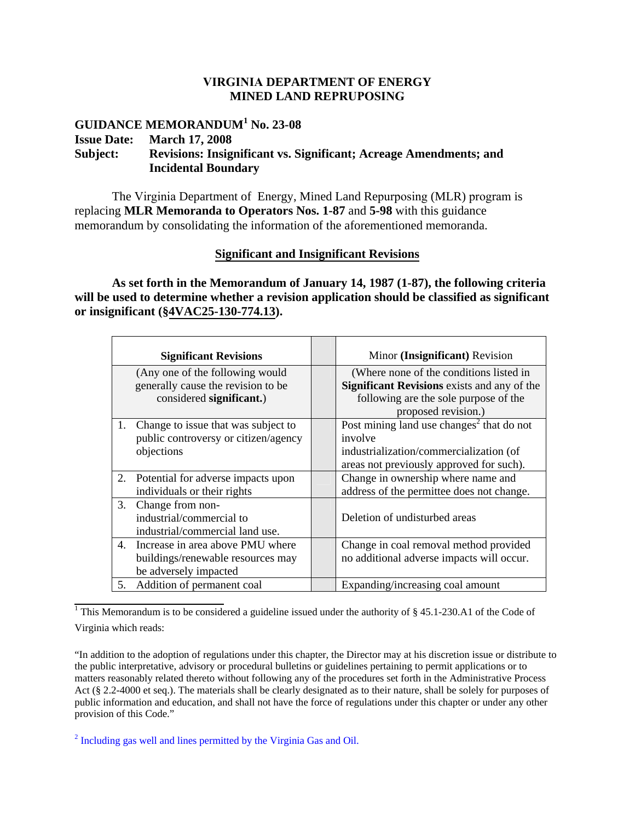## **VIRGINIA DEPARTMENT OF ENERGY MINED LAND REPRUPOSING**

## **GUIDANCE MEMORANDUM<sup>1</sup> No. 23-08 Issue Date: March 17, 2008 Subject: Revisions: Insignificant vs. Significant; Acreage Amendments; and Incidental Boundary**

The Virginia Department of Energy, Mined Land Repurposing (MLR) program is replacing **MLR Memoranda to Operators Nos. 1-87** and **5-98** with this guidance memorandum by consolidating the information of the aforementioned memoranda.

## **Significant and Insignificant Revisions**

**As set forth in the Memorandum of January 14, 1987 (1-87), the following criteria will be used to determine whether a revision application should be classified as significant or insignificant (§4VAC25-130-774.13).** 

|    | <b>Significant Revisions</b>         | Minor (Insignificant) Revision                        |
|----|--------------------------------------|-------------------------------------------------------|
|    | (Any one of the following would      | (Where none of the conditions listed in               |
|    | generally cause the revision to be   | <b>Significant Revisions</b> exists and any of the    |
|    | considered significant.)             | following are the sole purpose of the                 |
|    |                                      | proposed revision.)                                   |
| 1. | Change to issue that was subject to  | Post mining land use changes <sup>2</sup> that do not |
|    | public controversy or citizen/agency | involve                                               |
|    | objections                           | industrialization/commercialization (of               |
|    |                                      | areas not previously approved for such).              |
| 2. | Potential for adverse impacts upon   | Change in ownership where name and                    |
|    | individuals or their rights          | address of the permittee does not change.             |
| 3. | Change from non-                     |                                                       |
|    | industrial/commercial to             | Deletion of undisturbed areas                         |
|    | industrial/commercial land use.      |                                                       |
| 4. | Increase in area above PMU where     | Change in coal removal method provided                |
|    | buildings/renewable resources may    | no additional adverse impacts will occur.             |
|    | be adversely impacted                |                                                       |
| 5. | Addition of permanent coal           | Expanding/increasing coal amount                      |

<sup>1</sup> This Memorandum is to be considered a guideline issued under the authority of  $\S$  45.1-230.A1 of the Code of Virginia which reads:

"In addition to the adoption of regulations under this chapter, the Director may at his discretion issue or distribute to the public interpretative, advisory or procedural bulletins or guidelines pertaining to permit applications or to matters reasonably related thereto without following any of the procedures set forth in the Administrative Process Act (§ 2.2-4000 et seq.). The materials shall be clearly designated as to their nature, shall be solely for purposes of public information and education, and shall not have the force of regulations under this chapter or under any other provision of this Code."

<sup>2</sup> Including gas well and lines permitted by the Virginia Gas and Oil.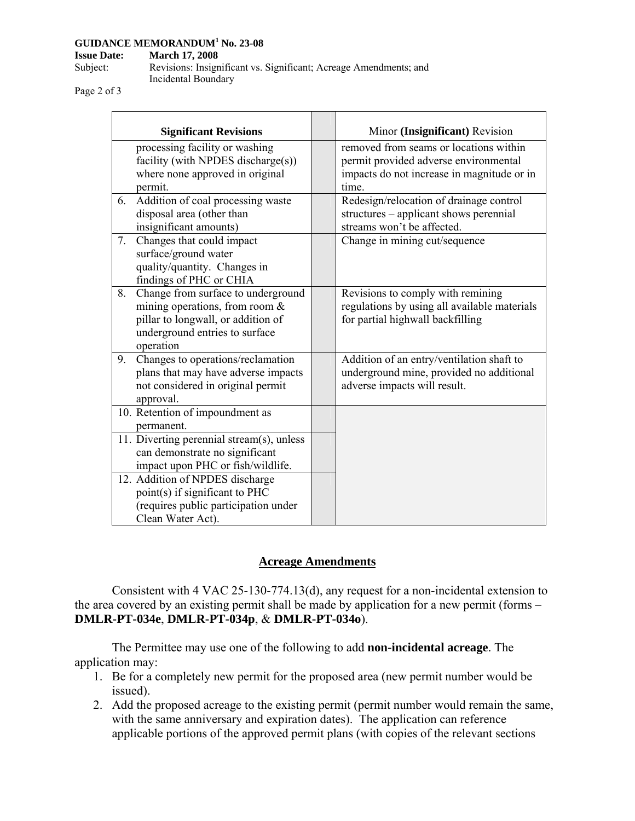#### **GUIDANCE MEMORANDUM1 No. 23-08**

**Issue Date: March 17, 2008** 

| Subject: | Revisions: Insignificant vs. Significant; Acreage Amendments; and |
|----------|-------------------------------------------------------------------|
|          | Incidental Boundary                                               |

Page 2 of 3

| <b>Significant Revisions</b>                                                                                                                                       | Minor (Insignificant) Revision                                                                                                         |
|--------------------------------------------------------------------------------------------------------------------------------------------------------------------|----------------------------------------------------------------------------------------------------------------------------------------|
| processing facility or washing<br>facility (with NPDES discharge(s))<br>where none approved in original<br>permit.                                                 | removed from seams or locations within<br>permit provided adverse environmental<br>impacts do not increase in magnitude or in<br>time. |
| Addition of coal processing waste<br>6.<br>disposal area (other than<br>insignificant amounts)                                                                     | Redesign/relocation of drainage control<br>structures - applicant shows perennial<br>streams won't be affected.                        |
| 7.<br>Changes that could impact<br>surface/ground water<br>quality/quantity. Changes in<br>findings of PHC or CHIA                                                 | Change in mining cut/sequence                                                                                                          |
| Change from surface to underground<br>8.<br>mining operations, from room $\&$<br>pillar to longwall, or addition of<br>underground entries to surface<br>operation | Revisions to comply with remining<br>regulations by using all available materials<br>for partial highwall backfilling                  |
| Changes to operations/reclamation<br>9.<br>plans that may have adverse impacts<br>not considered in original permit<br>approval.                                   | Addition of an entry/ventilation shaft to<br>underground mine, provided no additional<br>adverse impacts will result.                  |
| 10. Retention of impoundment as<br>permanent.                                                                                                                      |                                                                                                                                        |
| 11. Diverting perennial stream(s), unless<br>can demonstrate no significant<br>impact upon PHC or fish/wildlife.                                                   |                                                                                                                                        |
| 12. Addition of NPDES discharge<br>point(s) if significant to PHC<br>(requires public participation under<br>Clean Water Act).                                     |                                                                                                                                        |

# **Acreage Amendments**

Consistent with 4 VAC 25-130-774.13(d), any request for a non-incidental extension to the area covered by an existing permit shall be made by application for a new permit (forms – **DMLR-PT-034e**, **DMLR-PT-034p**, & **DMLR-PT-034o**).

The Permittee may use one of the following to add **non-incidental acreage**. The application may:

- 1. Be for a completely new permit for the proposed area (new permit number would be issued).
- 2. Add the proposed acreage to the existing permit (permit number would remain the same, with the same anniversary and expiration dates). The application can reference applicable portions of the approved permit plans (with copies of the relevant sections